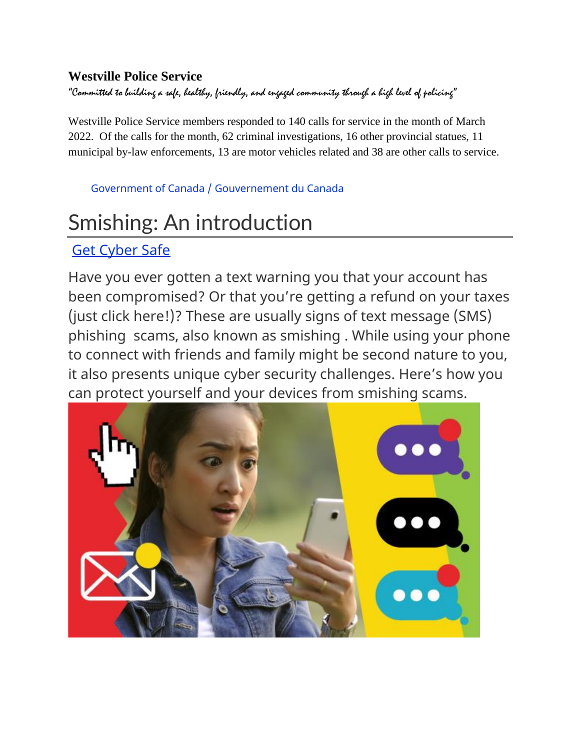#### **Westville Police Service**

"Committed to building a safe, healthy, friendly, and engaged community through a high level of policing"

Westville Police Service members responded to 140 calls for service in the month of March 2022. Of the calls for the month, 62 criminal investigations, 16 other provincial statues, 11 municipal by-law enforcements, 13 are motor vehicles related and 38 are other calls to service.

[Government of Canada /](https://www.canada.ca/en.html) [Gouvernement du Canada](https://www.canada.ca/en.html)

# Smishing: An introduction

#### [Get Cyber Safe](https://www.getcybersafe.gc.ca/en/homepage)

Have you ever gotten a text warning you that your account has been compromised? Or that you're getting a refund on your taxes (just click here!)? These are usually signs of text message (SMS) phishing scams, also known as smishing . While using your phone to connect with friends and family might be second nature to you, it also presents unique cyber security challenges. Here's how you can protect yourself and your devices from smishing scams.

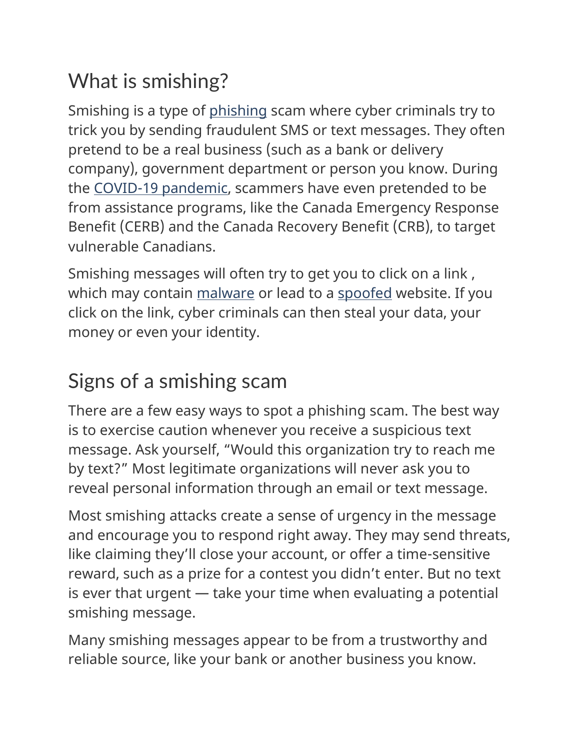# What is smishing?

Smishing is a type of [phishing](https://www.getcybersafe.gc.ca/en/phishing) scam where cyber criminals try to trick you by sending fraudulent SMS or text messages. They often pretend to be a real business (such as a bank or delivery company), government department or person you know. During the [COVID-19 pandemic,](https://www.getcybersafe.gc.ca/en/blogs/staying-cyber-secure-during-covid-19) scammers have even pretended to be from assistance programs, like the Canada Emergency Response Benefit (CERB) and the Canada Recovery Benefit (CRB), to target vulnerable Canadians.

Smishing messages will often try to get you to click on a link , which may contain [malware](https://www.getcybersafe.gc.ca/en/resources/malware-infographic-detected) or lead to a [spoofed](https://www.getcybersafe.gc.ca/en/blogs/spoofing-introduction) website. If you click on the link, cyber criminals can then steal your data, your money or even your identity.

# Signs of a smishing scam

There are a few easy ways to spot a phishing scam. The best way is to exercise caution whenever you receive a suspicious text message. Ask yourself, "Would this organization try to reach me by text?" Most legitimate organizations will never ask you to reveal personal information through an email or text message.

Most smishing attacks create a sense of urgency in the message and encourage you to respond right away. They may send threats, like claiming they'll close your account, or offer a time-sensitive reward, such as a prize for a contest you didn't enter. But no text is ever that urgent — take your time when evaluating a potential smishing message.

Many smishing messages appear to be from a trustworthy and reliable source, like your bank or another business you know.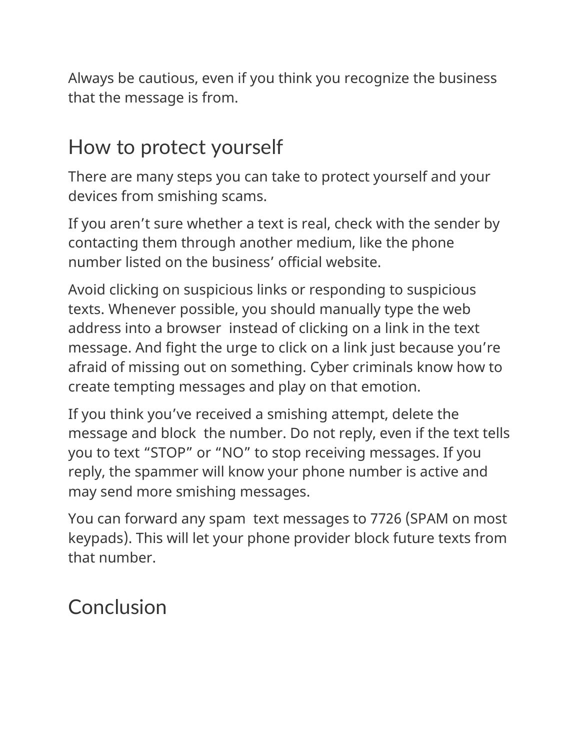Always be cautious, even if you think you recognize the business that the message is from.

## How to protect yourself

There are many steps you can take to protect yourself and your devices from smishing scams.

If you aren't sure whether a text is real, check with the sender by contacting them through another medium, like the phone number listed on the business' official website.

Avoid clicking on suspicious links or responding to suspicious texts. Whenever possible, you should manually type the web address into a browser instead of clicking on a link in the text message. And fight the urge to click on a link just because you're afraid of missing out on something. Cyber criminals know how to create tempting messages and play on that emotion.

If you think you've received a smishing attempt, delete the message and block the number. Do not reply, even if the text tells you to text "STOP" or "NO" to stop receiving messages. If you reply, the spammer will know your phone number is active and may send more smishing messages.

You can forward any spam text messages to 7726 (SPAM on most keypads). This will let your phone provider block future texts from that number.

### **Conclusion**